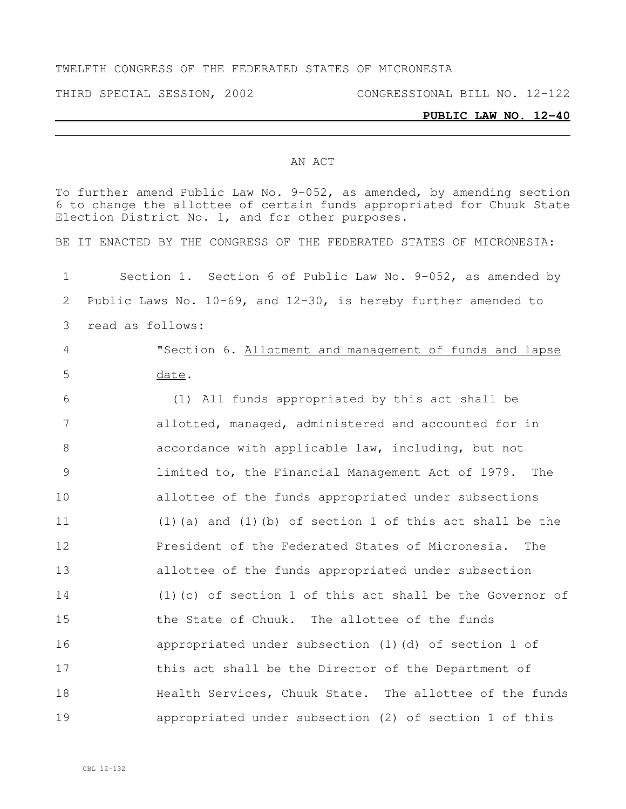#### TWELFTH CONGRESS OF THE FEDERATED STATES OF MICRONESIA

THIRD SPECIAL SESSION, 2002 CONGRESSIONAL BILL NO. 12-122

### **PUBLIC LAW NO. 12-40**

#### AN ACT

To further amend Public Law No. 9-052, as amended, by amending section to change the allottee of certain funds appropriated for Chuuk State Election District No. 1, and for other purposes. BE IT ENACTED BY THE CONGRESS OF THE FEDERATED STATES OF MICRONESIA: Section 1. Section 6 of Public Law No. 9-052, as amended by Public Laws No. 10-69, and 12-30, is hereby further amended to read as follows: "Section 6. Allotment and management of funds and lapse date. (1) All funds appropriated by this act shall be allotted, managed, administered and accounted for in accordance with applicable law, including, but not limited to, the Financial Management Act of 1979. The allottee of the funds appropriated under subsections (1)(a) and (1)(b) of section 1 of this act shall be the **President of the Federated States of Micronesia.** The allottee of the funds appropriated under subsection (1)(c) of section 1 of this act shall be the Governor of the State of Chuuk. The allottee of the funds appropriated under subsection (1)(d) of section 1 of this act shall be the Director of the Department of **Health Services, Chuuk State.** The allottee of the funds appropriated under subsection (2) of section 1 of this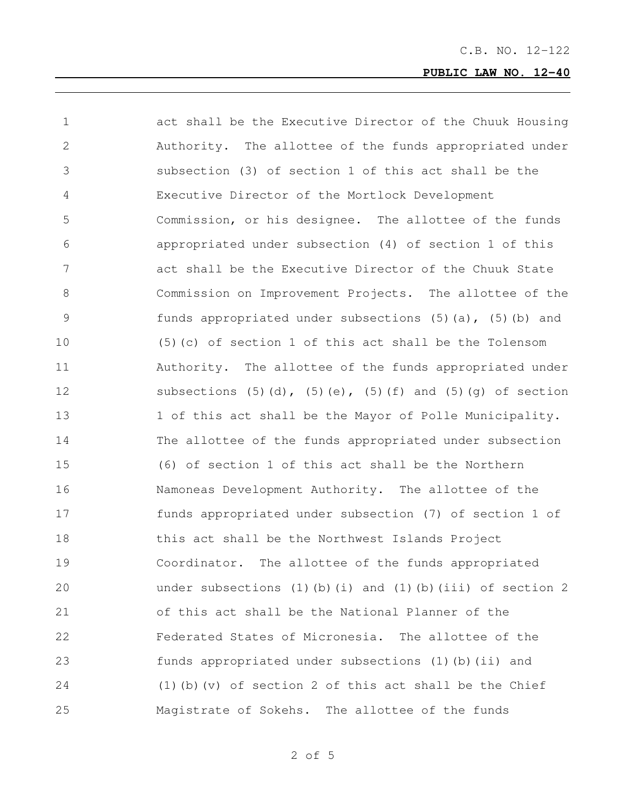| $\mathbf 1$    | act shall be the Executive Director of the Chuuk Housing                       |
|----------------|--------------------------------------------------------------------------------|
| 2              | Authority. The allottee of the funds appropriated under                        |
| 3              | subsection (3) of section 1 of this act shall be the                           |
| $\overline{4}$ | Executive Director of the Mortlock Development                                 |
| 5              | Commission, or his designee. The allottee of the funds                         |
| 6              | appropriated under subsection (4) of section 1 of this                         |
| 7              | act shall be the Executive Director of the Chuuk State                         |
| $8\,$          | Commission on Improvement Projects. The allottee of the                        |
| 9              | funds appropriated under subsections $(5)$ $(a)$ , $(5)$ $(b)$ and             |
| 10             | (5) (c) of section 1 of this act shall be the Tolensom                         |
| 11             | Authority. The allottee of the funds appropriated under                        |
| 12             | subsections $(5)$ $(d)$ , $(5)$ $(e)$ , $(5)$ $(f)$ and $(5)$ $(g)$ of section |
| 13             | 1 of this act shall be the Mayor of Polle Municipality.                        |
| 14             | The allottee of the funds appropriated under subsection                        |
| 15             | (6) of section 1 of this act shall be the Northern                             |
| 16             | Namoneas Development Authority. The allottee of the                            |
| 17             | funds appropriated under subsection (7) of section 1 of                        |
| 18             | this act shall be the Northwest Islands Project                                |
| 19             | Coordinator. The allottee of the funds appropriated                            |
| 20             | under subsections (1)(b)(i) and (1)(b)(iii) of section 2                       |
| 21             | of this act shall be the National Planner of the                               |
| 22             | Federated States of Micronesia. The allottee of the                            |
| 23             | funds appropriated under subsections (1) (b) (ii) and                          |
| 24             | $(1)$ (b) (v) of section 2 of this act shall be the Chief                      |
| 25             | Magistrate of Sokehs. The allottee of the funds                                |

of 5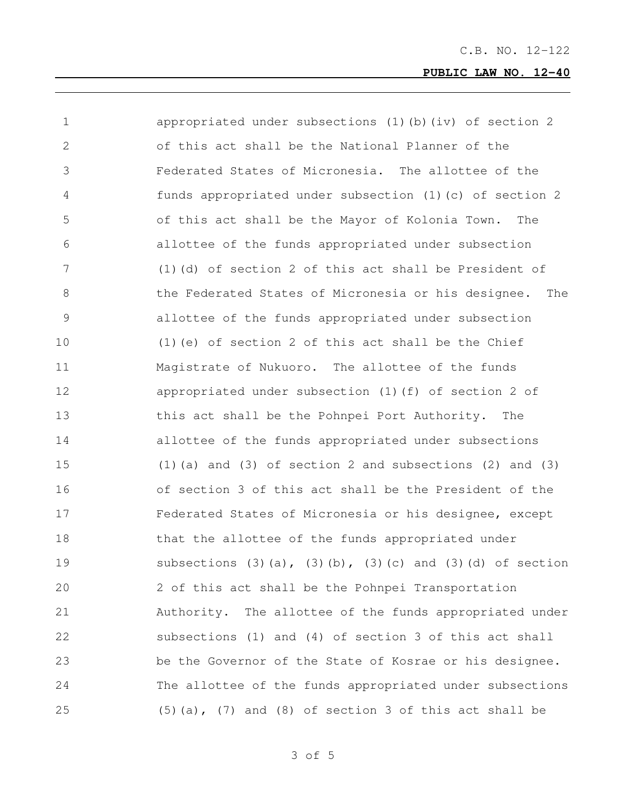| 1             | appropriated under subsections (1) (b) (iv) of section 2                       |
|---------------|--------------------------------------------------------------------------------|
| 2             | of this act shall be the National Planner of the                               |
| 3             | Federated States of Micronesia. The allottee of the                            |
| 4             | funds appropriated under subsection (1) (c) of section 2                       |
| 5             | of this act shall be the Mayor of Kolonia Town.<br>The                         |
| 6             | allottee of the funds appropriated under subsection                            |
| 7             | $(1)$ (d) of section 2 of this act shall be President of                       |
| 8             | the Federated States of Micronesia or his designee.<br>The                     |
| $\mathcal{G}$ | allottee of the funds appropriated under subsection                            |
| 10            | $(1)$ (e) of section 2 of this act shall be the Chief                          |
| 11            | Magistrate of Nukuoro. The allottee of the funds                               |
| 12            | appropriated under subsection (1) (f) of section 2 of                          |
| 13            | this act shall be the Pohnpei Port Authority. The                              |
| 14            | allottee of the funds appropriated under subsections                           |
| 15            | $(1)$ (a) and $(3)$ of section 2 and subsections $(2)$ and $(3)$               |
| 16            | of section 3 of this act shall be the President of the                         |
| 17            | Federated States of Micronesia or his designee, except                         |
| 18            | that the allottee of the funds appropriated under                              |
| 19            | subsections $(3)$ $(a)$ , $(3)$ $(b)$ , $(3)$ $(c)$ and $(3)$ $(d)$ of section |
| 20            | 2 of this act shall be the Pohnpei Transportation                              |
| 21            | Authority. The allottee of the funds appropriated under                        |
| 22            | subsections (1) and (4) of section 3 of this act shall                         |
| 23            | be the Governor of the State of Kosrae or his designee.                        |
| 24            | The allottee of the funds appropriated under subsections                       |
| 25            | $(5)$ (a), $(7)$ and (8) of section 3 of this act shall be                     |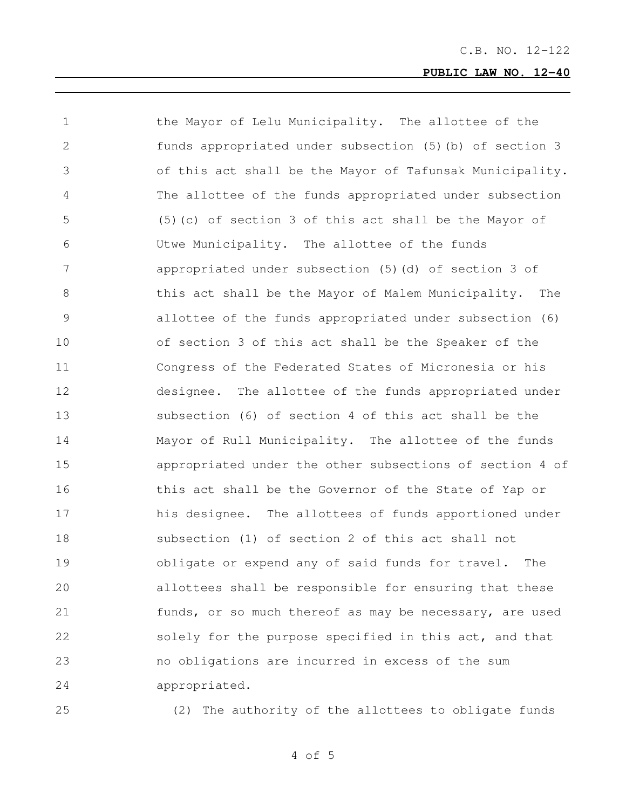the Mayor of Lelu Municipality. The allottee of the funds appropriated under subsection (5)(b) of section 3 of this act shall be the Mayor of Tafunsak Municipality. The allottee of the funds appropriated under subsection (5)(c) of section 3 of this act shall be the Mayor of Utwe Municipality. The allottee of the funds appropriated under subsection (5)(d) of section 3 of 8 this act shall be the Mayor of Malem Municipality. The allottee of the funds appropriated under subsection (6) of section 3 of this act shall be the Speaker of the Congress of the Federated States of Micronesia or his designee. The allottee of the funds appropriated under subsection (6) of section 4 of this act shall be the Mayor of Rull Municipality. The allottee of the funds appropriated under the other subsections of section 4 of this act shall be the Governor of the State of Yap or 17 his designee. The allottees of funds apportioned under subsection (1) of section 2 of this act shall not obligate or expend any of said funds for travel. The allottees shall be responsible for ensuring that these funds, or so much thereof as may be necessary, are used 22 solely for the purpose specified in this act, and that no obligations are incurred in excess of the sum appropriated.

(2) The authority of the allottees to obligate funds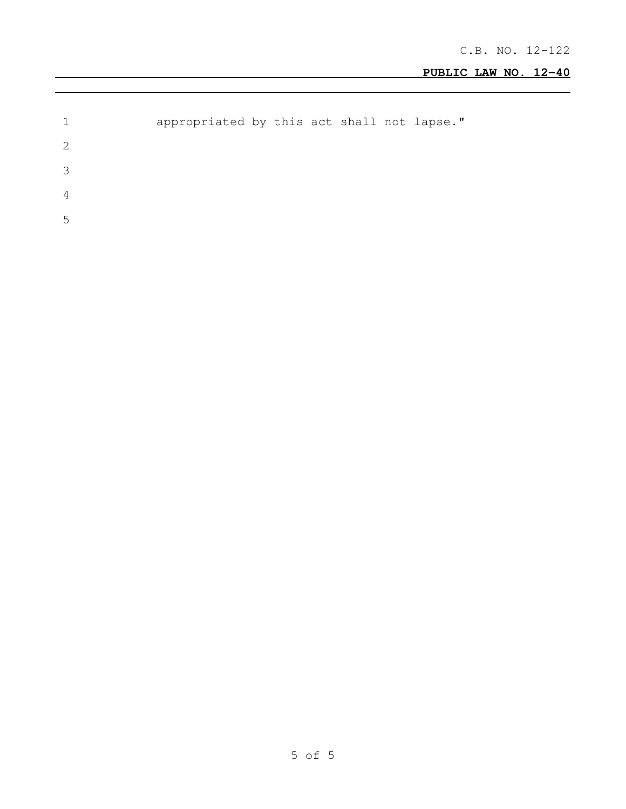|     | appropriated by this act shall not lapse." |  |  |  |  |
|-----|--------------------------------------------|--|--|--|--|
| -2  |                                            |  |  |  |  |
| - 2 |                                            |  |  |  |  |
| 4   |                                            |  |  |  |  |
| .h  |                                            |  |  |  |  |